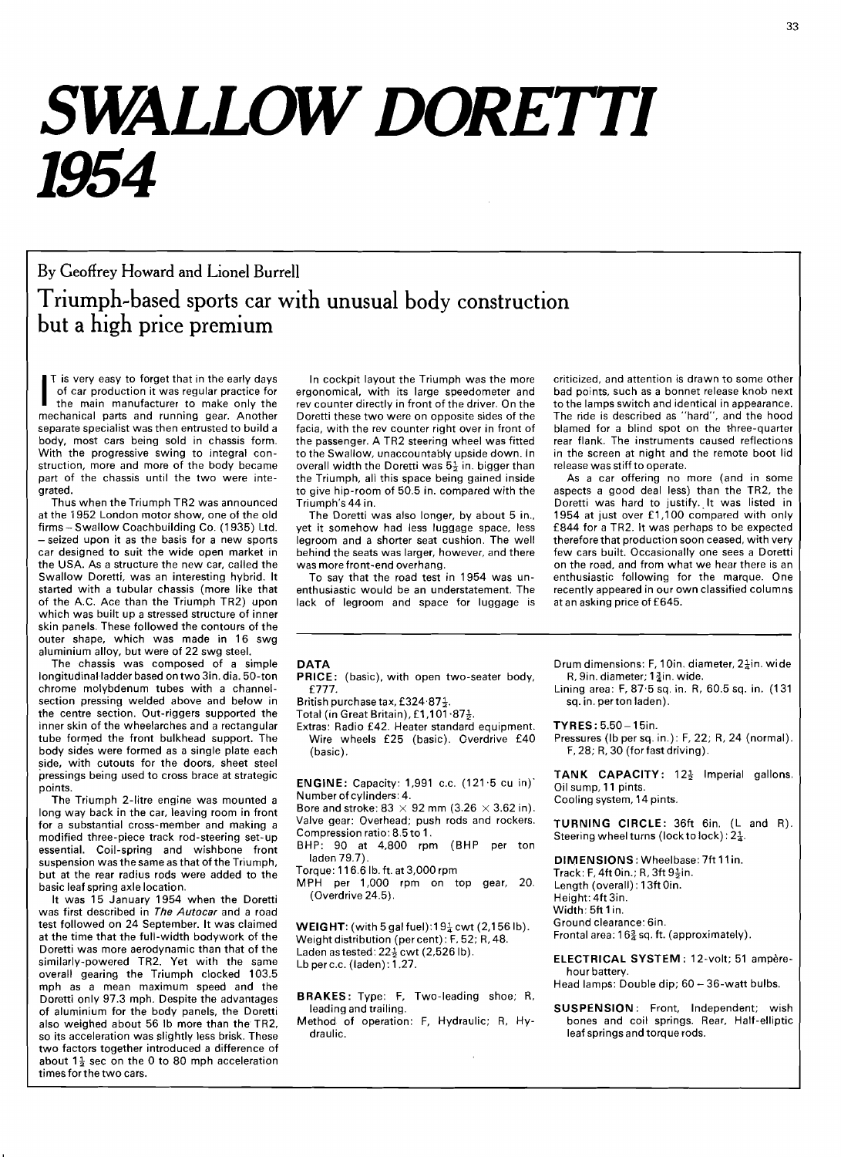## *SWALLOW DORETTI*  **1954**

## By Geoffrey Howard and Lionel Burrell Triumph-based sports car with unusual body construction but a high price premium

I is very easy to forget that in the early days In cockpit layout the Triumph was the more criticized, and attention is drawn to some other<br>of car production it was regular practice for ergonomical, with its large speedome If the main manufacturer to make only the rev counter directly in front of the driver. On the to the lamps switch and identical in appearance.<br>The ride is described as "hard", and the hood mechanical parts in a provide to mechanical parts and running gear. Another Doretti these two were on opposite sides of the The ride is described as "hard", and the hood<br>separate specialist was then entrusted to build a facia, with the reviculine right ov body, most cars being sold in chassis form. the passenger. A TR2 steering wheel was fitted rear flank. The instruments caused reflections With the progressive swing to integral con- to the Swallow, unaccountably upside dow With the progressive swing to integral con- to the Swallow, unaccountably upside down. In in the screen at night and struction, more and more of the body became overall width the Doretti was  $5\frac{1}{2}$  in, bigger than rel struction, more and more of the body became overall width the Doretti was  $5\frac{1}{2}$  in. bigger than release was stiff to operate.<br>part of the chassis until the two were inte-<br>the Triumph, all this space being gained insi

Thus when the Triumph TR2 was announced Triumph's 44 in. <br>at the 1952 London motor show, one of the old The Doretti was also longer, by about 5 in., 1954 at just over £1,100 compared with only at the 1952 London motor show, one of the old<br>
firms – Swallow Coachbuilding Co. (1935) Ltd. vet it somehow had less luggage space, less E844 for a TR2. It was perhaps to be expected firms-Swallow Coachbuilding Co. (1935) Ltd. yet it somehow had less luggage space, less £844 for a TR2. It was perhaps to be expected  $-$  seized upon it as the basis for a new sports and reprom and a shorter seat cushion. -seized upon it as the basis for a new sports legroom and a shorter seat cushion. The well therefore that production soon ceased, with very car designed to suit the wide open market in behind the seats was larger, however, car designed to suit the wide open market in behind the seats was larger, however, and there the USA. As a structure the new car, called the was more front-end overhang. the USA. As a structure the new car, called the was more front-end overhang. The same on the road, and from what we hear there is an interesting hybrid. It To say that the road test in 1954 was un- enthusiastic following f Swallow Doretti, was an interesting hybrid. It To say that the road test in 1954 was un- enthusiastic following for the marque. One started with a tubular chassis (more like that enthusiastic would be an understatement. Th started with a tubular chassis (more like that enthusiastic would be an understatement. The recently appeared in our own of the A.C. Ace than the Triumph TR2) upon lack of legroom and space for luggage is at an asking pric which was built up a stressed structure of inner skin panels. These followed the contours of the outer shape, which was made in 16 swg aluminium alloy, but were of 22 swg steel.<br>The chassis was composed of a simple

The chassis was composed of a simple **DATA** Drum dimensions: F, 10in. diameter, 2 $\frac{1}{4}$ in. wide<br>Iongitudinal·ladderbased ontwo 3in. dia. 50-ton **PRICE:** (basic), with open two-seater body, R, 9in. diameter; 1 $\frac{1}{2}$ i chrome molybdenum tubes with a channel-  $f$   $f$   $777$ .<br>section pressing welded above and below in. British purchase tax,  $f$   $324.87\frac{1}{2}$ section pressing welded above and below in British purchase tax, £324.87 $\frac{1}{2}$ . sq. in. perton laden).<br>the centre section. Out-riggers supported the Total (in Great Britain), £1,101.87 $\frac{1}{2}$ . the centre section. Out-riggers supported the inner skin of the wheelarches and a rectangular inner skin of the wheelarches and a rectangular Extras: Radio £42. Heater standard equipment. TYRES: 5.50-15in.<br>tube formed the front bulkhead support. The Wire wheels £25 (basic). Overdrive £40 Pressures (lb per sq. in.): body sides were formed as a single plate each  $($  hasic). side, with cutouts for the doors, sheet steel<br>pressings being used to cross brace at strategic

The Triumph 2-litre engine was mounted a Number of cylinders: 4.<br>Fig. way back in the east leaving seem in front Bore and stroke: 83  $\times$  92 mm (3.26  $\times$  3.62 in). long way back in the car, leaving room in front Bore and stroke: 83  $\times$  92 mm (3.26  $\times$  3.62 in).<br>for a substantial cross-member and making a solative gear: Overhead; push rods and rockers. modified three-piece track rod-steering set-up ratio: 8.5 Compression ratio: 8.5 to 1.<br>essential residence and wishbone front in BHP: 90 at 4,800 rpm (BHP per ton essential. Coil-spring and wishbone front  $BHP: 90$  at  $\frac{BHP: 90}{4}$ suspension was the same as that of the Triumph,  $l$  aden 79.7).<br>
but at the rear radius rods were added to the Torque: 116.6 lb. ft. at 3,000 rpm Track: F, 4ft 0in.; R, 3ft 9 $\frac{1}{2}$ in. but at the rear radius rods were added to the 100 orgue: 116.6 ib. rt. at 3,000 rpm Track: F, 4ft Oin.; R, 3ft 9 $\frac{1}{2}$ .<br>hasic leaf spring axle location. MPH per 1,000 rpm on top gear, 20. Length (overall): 13ft Oin.

It was 15 January 1954 when the Doretti (Overdrive 24.5). Height: 4ft 3in. Height: 4ft 3in.<br>It is first described in *The Autocar* and a road was first described in *The Autocar* and a road<br>test followed on 24 September. It was claimed **WEIGHT:** (with 5 gal fuel): 194 cwt (2 156 lb) Ground clearance: 6in. at the time that the full-width bodywork of the Doretti was more aerodynamic than that of the  $^{120}$  and astested: 22 $\frac{1}{2}$  cwt (2,526 lb).<br>
similarly-powered TR2. Yet with the same Lb per c.c. (laden): 1.27. similarly-powered TR2. Yet with the same  $\begin{array}{ll}\text{EDECTRICAL SYSTEM: 12-volt; 51 ampère-} \\ \text{milarity-powered TR2. Yet with the same} \\ \text{overall decimal} \end{array}$ overall gearing the Triumph clocked 103.5 mph as a mean maximum speed and the  $\frac{1}{2}$  BRAKES: Type: F. Two-leading shoe; R. Head lamps: Double dip; 60 - 36-watt bulbs. Doretti only 97.3 mph. Despite the advantages BRAKES: Type: F, The advantages BRAKES: Type: F, Twoof aluminium for the body panels, the Doretti leading and trailing.<br>also weighed about 56 lb more than the TR2, Method of operation: F, Hydraulic; R, Hy- bones and coil springs. Rear, Half-elliptic so its acceleration was slightly less brisk. These draulic. two factors together introduced a difference of about  $1\frac{1}{2}$  sec on the 0 to 80 mph acceleration times for the two cars.

part of the chassis until the two were inte-<br>grated. to give hip-room of 50.5 in. compared with the<br>prated.

lack of legroom and space for luggage is

of car production it was regular practice for ergonomical, with its large speedometer and bad points, such as a bonnet release knob next<br>the main manufacturer to make only the rev counter directly in front of the driver. O facia, with the rev counter right over in front of blamed for a blind spot on the three-quarter<br>the passenger. A TR2 steering wheel was fitted rear flank. The instruments caused reflections

ated. to give hip-room of 50.5 in. compared with the aspects a good deal less) than the TR2, the than the TR2,<br>Thus when the Triumph TR2 was announced Triumph's 44 in. https://was. Doretti was hard to justify. It was liste

- PRICE: (basic), with open two-seater body, R, 9in. diameter; 1 ain. wide.<br> **E777.** E777. External Binning area: F, 87.5 sq. in. R, 60.5 sq. in. (131
- 
- 
- Wire wheels £25 (basic). Overdrive £40 Pressures (Ib per sq. in.): F, 22;<br>(basic). F, 28; R, 30 (for fast driving).

**ENGINE:** Capacity: 1,991 c.c. (121.5 cu in)<br>Number of cylinders: 4.

basic leaf spring axle location. MPH per 1,000 rpm on top gear, 20. Length (overall<br>ht was 15 January 1954 when the Doretti (Overdrive 24.5).

WEIGHT: (with 5 gal fuel):19 $\frac{1}{4}$  cwt (2,156 lb), Ground clearance: 6in.<br>Weight distribution (per cent): F, 52; R, 48. Frontal area: 16 $\frac{2}{4}$  sq. ft. (approximately).

Method of operation: F, Hydraulic; R, Hy-<br>draulic. leafsprings and torque rods.

pressings being used to cross brace at strategic<br>points. TANK CAPACITY: 12<sup>1</sup> Imperial gallons.<br>points.

Valve gear: Overhead; push rods and rockers. TURNING CIRCLE: 36ft 6in. (L and R).<br>Compression ratio: 8.5 to 1. Steering wheel turns (lock to lock): 2 $\frac{1}{4}$ .